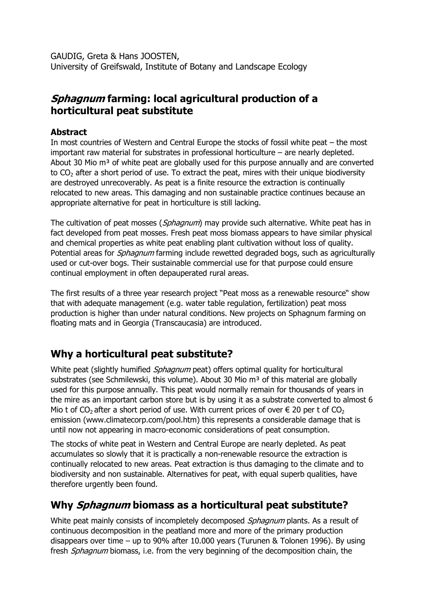GAUDIG, Greta & Hans JOOSTEN, University of Greifswald, Institute of Botany and Landscape Ecology

## Sphagnum farming: local agricultural production of a horticultural peat substitute

### Abstract

In most countries of Western and Central Europe the stocks of fossil white peat – the most important raw material for substrates in professional horticulture – are nearly depleted. About 30 Mio  $m<sup>3</sup>$  of white peat are globally used for this purpose annually and are converted to  $CO<sub>2</sub>$  after a short period of use. To extract the peat, mires with their unique biodiversity are destroyed unrecoverably. As peat is a finite resource the extraction is continually relocated to new areas. This damaging and non sustainable practice continues because an appropriate alternative for peat in horticulture is still lacking.

The cultivation of peat mosses (Sphagnum) may provide such alternative. White peat has in fact developed from peat mosses. Fresh peat moss biomass appears to have similar physical and chemical properties as white peat enabling plant cultivation without loss of quality. Potential areas for *Sphagnum* farming include rewetted degraded bogs, such as agriculturally used or cut-over bogs. Their sustainable commercial use for that purpose could ensure continual employment in often depauperated rural areas.

The first results of a three year research project "Peat moss as a renewable resource" show that with adequate management (e.g. water table regulation, fertilization) peat moss production is higher than under natural conditions. New projects on Sphagnum farming on floating mats and in Georgia (Transcaucasia) are introduced.

# Why a horticultural peat substitute?

White peat (slightly humified *Sphagnum* peat) offers optimal quality for horticultural substrates (see Schmilewski, this volume). About 30 Mio m<sup>3</sup> of this material are globally used for this purpose annually. This peat would normally remain for thousands of years in the mire as an important carbon store but is by using it as a substrate converted to almost 6 Mio t of CO<sub>2</sub> after a short period of use. With current prices of over  $\epsilon$  20 per t of CO<sub>2</sub> emission (www.climatecorp.com/pool.htm) this represents a considerable damage that is until now not appearing in macro-economic considerations of peat consumption.

The stocks of white peat in Western and Central Europe are nearly depleted. As peat accumulates so slowly that it is practically a non-renewable resource the extraction is continually relocated to new areas. Peat extraction is thus damaging to the climate and to biodiversity and non sustainable. Alternatives for peat, with equal superb qualities, have therefore urgently been found.

# Why *Sphagnum* biomass as a horticultural peat substitute?

White peat mainly consists of incompletely decomposed *Sphagnum* plants. As a result of continuous decomposition in the peatland more and more of the primary production disappears over time – up to 90% after 10.000 years (Turunen & Tolonen 1996). By using fresh *Sphagnum* biomass, i.e. from the very beginning of the decomposition chain, the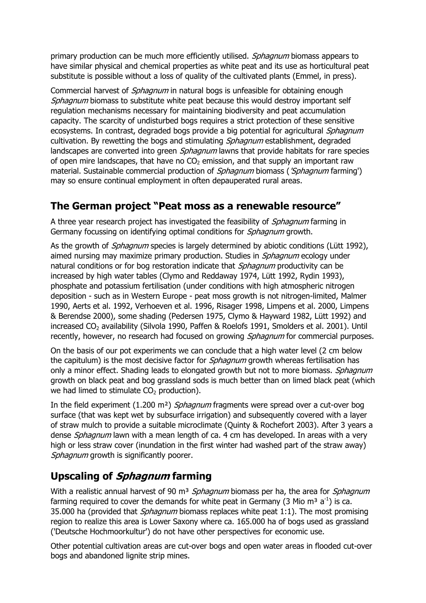primary production can be much more efficiently utilised. *Sphagnum* biomass appears to have similar physical and chemical properties as white peat and its use as horticultural peat substitute is possible without a loss of quality of the cultivated plants (Emmel, in press).

Commercial harvest of *Sphagnum* in natural bogs is unfeasible for obtaining enough Sphagnum biomass to substitute white peat because this would destroy important self regulation mechanisms necessary for maintaining biodiversity and peat accumulation capacity. The scarcity of undisturbed bogs requires a strict protection of these sensitive ecosystems. In contrast, degraded bogs provide a big potential for agricultural *Sphagnum* cultivation. By rewetting the bogs and stimulating *Sphagnum* establishment, degraded landscapes are converted into green *Sphagnum* lawns that provide habitats for rare species of open mire landscapes, that have no  $CO<sub>2</sub>$  emission, and that supply an important raw material. Sustainable commercial production of *Sphagnum* biomass (*'Sphagnum* farming') may so ensure continual employment in often depauperated rural areas.

## The German project "Peat moss as a renewable resource"

A three year research project has investigated the feasibility of *Sphagnum* farming in Germany focussing on identifying optimal conditions for *Sphagnum* growth.

As the growth of *Sphagnum* species is largely determined by abiotic conditions (Lütt 1992), aimed nursing may maximize primary production. Studies in *Sphagnum* ecology under natural conditions or for bog restoration indicate that *Sphagnum* productivity can be increased by high water tables (Clymo and Reddaway 1974, Lütt 1992, Rydin 1993), phosphate and potassium fertilisation (under conditions with high atmospheric nitrogen deposition - such as in Western Europe - peat moss growth is not nitrogen-limited, Malmer 1990, Aerts et al. 1992, Verhoeven et al. 1996, Risager 1998, Limpens et al. 2000, Limpens & Berendse 2000), some shading (Pedersen 1975, Clymo & Hayward 1982, Lütt 1992) and increased CO<sub>2</sub> availability (Silvola 1990, Paffen & Roelofs 1991, Smolders et al. 2001). Until recently, however, no research had focused on growing *Sphagnum* for commercial purposes.

On the basis of our pot experiments we can conclude that a high water level (2 cm below the capitulum) is the most decisive factor for *Sphagnum* growth whereas fertilisation has only a minor effect. Shading leads to elongated growth but not to more biomass. Sphagnum growth on black peat and bog grassland sods is much better than on limed black peat (which we had limed to stimulate  $CO<sub>2</sub>$  production).

In the field experiment (1.200 m<sup>2</sup>) Sphagnum fragments were spread over a cut-over bog surface (that was kept wet by subsurface irrigation) and subsequently covered with a layer of straw mulch to provide a suitable microclimate (Quinty & Rochefort 2003). After 3 years a dense *Sphagnum* lawn with a mean length of ca. 4 cm has developed. In areas with a very high or less straw cover (inundation in the first winter had washed part of the straw away) Sphagnum growth is significantly poorer.

# Upscaling of *Sphagnum* farming

With a realistic annual harvest of 90 m<sup>3</sup> Sphagnum biomass per ha, the area for Sphagnum farming required to cover the demands for white peat in Germany (3 Mio m<sup>3</sup> a<sup>-1</sup>) is ca. 35.000 ha (provided that *Sphagnum* biomass replaces white peat 1:1). The most promising region to realize this area is Lower Saxony where ca. 165.000 ha of bogs used as grassland ('Deutsche Hochmoorkultur') do not have other perspectives for economic use.

Other potential cultivation areas are cut-over bogs and open water areas in flooded cut-over bogs and abandoned lignite strip mines.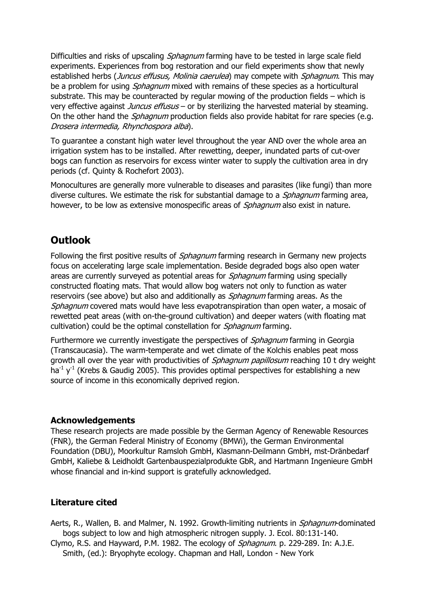Difficulties and risks of upscaling *Sphagnum* farming have to be tested in large scale field experiments. Experiences from bog restoration and our field experiments show that newly established herbs (Juncus effusus, Molinia caerulea) may compete with Sphagnum. This may be a problem for using *Sphagnum* mixed with remains of these species as a horticultural substrate. This may be counteracted by regular mowing of the production fields – which is very effective against *Juncus effusus* – or by sterilizing the harvested material by steaming. On the other hand the *Sphagnum* production fields also provide habitat for rare species (e.g. Drosera intermedia, Rhynchospora alba).

To guarantee a constant high water level throughout the year AND over the whole area an irrigation system has to be installed. After rewetting, deeper, inundated parts of cut-over bogs can function as reservoirs for excess winter water to supply the cultivation area in dry periods (cf. Quinty & Rochefort 2003).

Monocultures are generally more vulnerable to diseases and parasites (like fungi) than more diverse cultures. We estimate the risk for substantial damage to a *Sphagnum* farming area, however, to be low as extensive monospecific areas of *Sphagnum* also exist in nature.

## **Outlook**

Following the first positive results of *Sphagnum* farming research in Germany new projects focus on accelerating large scale implementation. Beside degraded bogs also open water areas are currently surveyed as potential areas for *Sphagnum* farming using specially constructed floating mats. That would allow bog waters not only to function as water reservoirs (see above) but also and additionally as *Sphagnum* farming areas. As the Sphagnum covered mats would have less evapotranspiration than open water, a mosaic of rewetted peat areas (with on-the-ground cultivation) and deeper waters (with floating mat cultivation) could be the optimal constellation for *Sphagnum* farming.

Furthermore we currently investigate the perspectives of *Sphagnum* farming in Georgia (Transcaucasia). The warm-temperate and wet climate of the Kolchis enables peat moss growth all over the year with productivities of *Sphagnum papillosum* reaching 10 t dry weight ha<sup>-1</sup> y<sup>-1</sup> (Krebs & Gaudig 2005). This provides optimal perspectives for establishing a new source of income in this economically deprived region.

### Acknowledgements

These research projects are made possible by the German Agency of Renewable Resources (FNR), the German Federal Ministry of Economy (BMWi), the German Environmental Foundation (DBU), Moorkultur Ramsloh GmbH, Klasmann-Deilmann GmbH, mst-Dränbedarf GmbH, Kaliebe & Leidholdt Gartenbauspezialprodukte GbR, and Hartmann Ingenieure GmbH whose financial and in-kind support is gratefully acknowledged.

### Literature cited

Aerts, R., Wallen, B. and Malmer, N. 1992. Growth-limiting nutrients in *Sphagnum*-dominated bogs subject to low and high atmospheric nitrogen supply. J. Ecol. 80:131-140.

Clymo, R.S. and Hayward, P.M. 1982. The ecology of Sphagnum. p. 229-289. In: A.J.E. Smith, (ed.): Bryophyte ecology. Chapman and Hall, London - New York